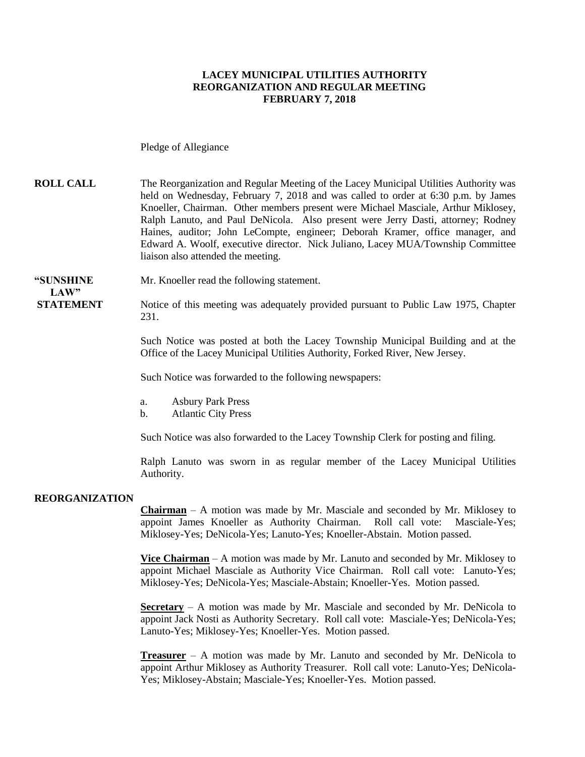#### **LACEY MUNICIPAL UTILITIES AUTHORITY REORGANIZATION AND REGULAR MEETING FEBRUARY 7, 2018**

Pledge of Allegiance

**ROLL CALL** The Reorganization and Regular Meeting of the Lacey Municipal Utilities Authority was held on Wednesday, February 7, 2018 and was called to order at 6:30 p.m. by James Knoeller, Chairman. Other members present were Michael Masciale, Arthur Miklosey, Ralph Lanuto, and Paul DeNicola. Also present were Jerry Dasti, attorney; Rodney Haines, auditor; John LeCompte, engineer; Deborah Kramer, office manager, and Edward A. Woolf, executive director. Nick Juliano, Lacey MUA/Township Committee liaison also attended the meeting.

**"SUNSHINE** Mr. Knoeller read the following statement.

**STATEMENT** Notice of this meeting was adequately provided pursuant to Public Law 1975, Chapter 231.

> Such Notice was posted at both the Lacey Township Municipal Building and at the Office of the Lacey Municipal Utilities Authority, Forked River, New Jersey.

Such Notice was forwarded to the following newspapers:

- a. Asbury Park Press
- b. Atlantic City Press

Such Notice was also forwarded to the Lacey Township Clerk for posting and filing.

Ralph Lanuto was sworn in as regular member of the Lacey Municipal Utilities Authority.

#### **REORGANIZATION**

**LAW"**

**Chairman** – A motion was made by Mr. Masciale and seconded by Mr. Miklosey to appoint James Knoeller as Authority Chairman. Roll call vote: Masciale-Yes; Miklosey-Yes; DeNicola-Yes; Lanuto-Yes; Knoeller-Abstain. Motion passed.

**Vice Chairman** – A motion was made by Mr. Lanuto and seconded by Mr. Miklosey to appoint Michael Masciale as Authority Vice Chairman. Roll call vote: Lanuto-Yes; Miklosey-Yes; DeNicola-Yes; Masciale-Abstain; Knoeller-Yes. Motion passed.

**Secretary** – A motion was made by Mr. Masciale and seconded by Mr. DeNicola to appoint Jack Nosti as Authority Secretary. Roll call vote: Masciale-Yes; DeNicola-Yes; Lanuto-Yes; Miklosey-Yes; Knoeller-Yes. Motion passed.

**Treasurer** – A motion was made by Mr. Lanuto and seconded by Mr. DeNicola to appoint Arthur Miklosey as Authority Treasurer. Roll call vote: Lanuto-Yes; DeNicola-Yes; Miklosey-Abstain; Masciale-Yes; Knoeller-Yes. Motion passed.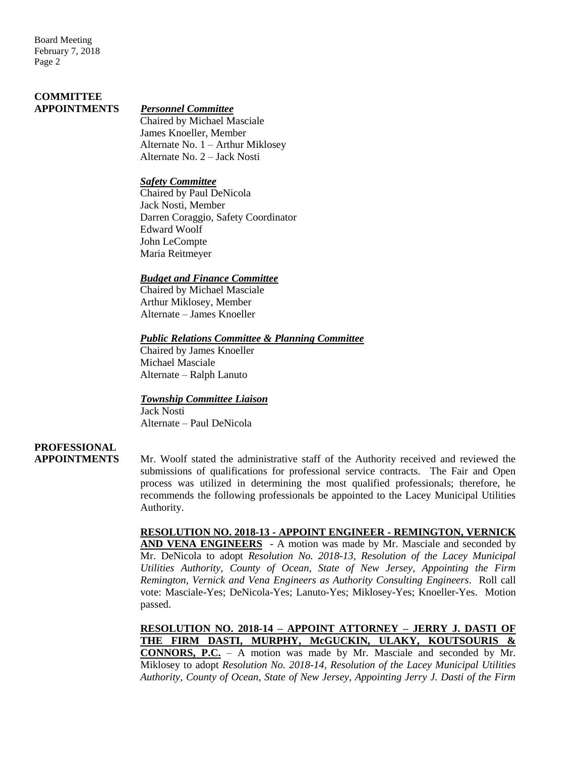Board Meeting February 7, 2018 Page 2

## **COMMITTEE**

#### **APPOINTMENTS** *Personnel Committee*

Chaired by Michael Masciale James Knoeller, Member Alternate No. 1 – Arthur Miklosey Alternate No. 2 – Jack Nosti

#### *Safety Committee*

Chaired by Paul DeNicola Jack Nosti, Member Darren Coraggio, Safety Coordinator Edward Woolf John LeCompte Maria Reitmeyer

### *Budget and Finance Committee*

Chaired by Michael Masciale Arthur Miklosey, Member Alternate – James Knoeller

#### *Public Relations Committee & Planning Committee*

Chaired by James Knoeller Michael Masciale Alternate – Ralph Lanuto

### *Township Committee Liaison*

Jack Nosti Alternate – Paul DeNicola

### **PROFESSIONAL**

**APPOINTMENTS** Mr. Woolf stated the administrative staff of the Authority received and reviewed the submissions of qualifications for professional service contracts. The Fair and Open process was utilized in determining the most qualified professionals; therefore, he recommends the following professionals be appointed to the Lacey Municipal Utilities Authority.

> **RESOLUTION NO. 2018-13 - APPOINT ENGINEER - REMINGTON, VERNICK AND VENA ENGINEERS** - A motion was made by Mr. Masciale and seconded by Mr. DeNicola to adopt *Resolution No. 2018-13, Resolution of the Lacey Municipal Utilities Authority, County of Ocean, State of New Jersey, Appointing the Firm Remington, Vernick and Vena Engineers as Authority Consulting Engineers*. Roll call vote: Masciale-Yes; DeNicola-Yes; Lanuto-Yes; Miklosey-Yes; Knoeller-Yes. Motion passed.

> **RESOLUTION NO. 2018-14 – APPOINT ATTORNEY – JERRY J. DASTI OF THE FIRM DASTI, MURPHY, McGUCKIN, ULAKY, KOUTSOURIS & CONNORS, P.C.** – A motion was made by Mr. Masciale and seconded by Mr. Miklosey to adopt *Resolution No. 2018-14, Resolution of the Lacey Municipal Utilities Authority, County of Ocean, State of New Jersey, Appointing Jerry J. Dasti of the Firm*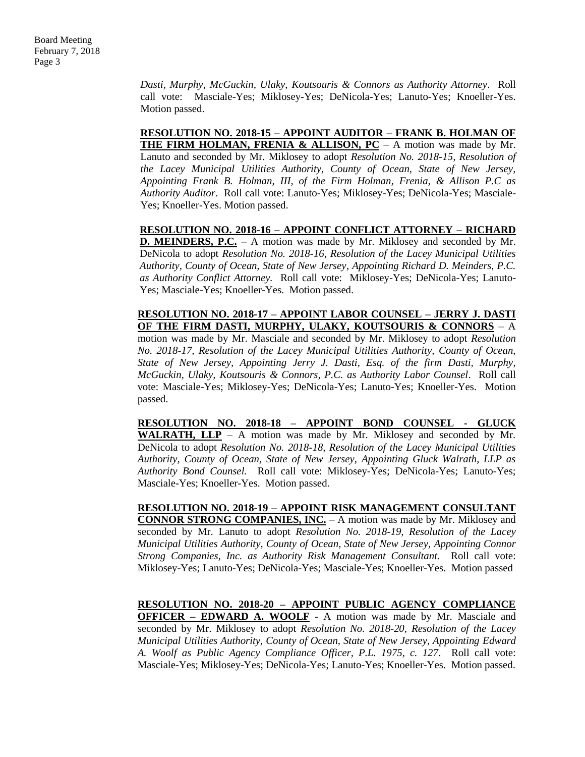*Dasti, Murphy*, *McGuckin, Ulaky, Koutsouris & Connors as Authority Attorney*. Roll call vote: Masciale-Yes; Miklosey-Yes; DeNicola-Yes; Lanuto-Yes; Knoeller-Yes. Motion passed.

**RESOLUTION NO. 2018-15 – APPOINT AUDITOR – FRANK B. HOLMAN OF THE FIRM HOLMAN, FRENIA & ALLISON, PC** – A motion was made by Mr. Lanuto and seconded by Mr. Miklosey to adopt *Resolution No. 2018-15, Resolution of the Lacey Municipal Utilities Authority, County of Ocean, State of New Jersey, Appointing Frank B. Holman, III, of the Firm Holman, Frenia, & Allison P.C as Authority Auditor*. Roll call vote: Lanuto-Yes; Miklosey-Yes; DeNicola-Yes; Masciale-Yes; Knoeller-Yes. Motion passed.

**RESOLUTION NO. 2018-16 – APPOINT CONFLICT ATTORNEY – RICHARD D. MEINDERS, P.C.** – A motion was made by Mr. Miklosey and seconded by Mr. DeNicola to adopt *Resolution No. 2018-16, Resolution of the Lacey Municipal Utilities Authority, County of Ocean, State of New Jersey*, *Appointing Richard D. Meinders, P.C. as Authority Conflict Attorney.* Roll call vote: Miklosey-Yes; DeNicola-Yes; Lanuto-Yes; Masciale-Yes; Knoeller-Yes. Motion passed.

**RESOLUTION NO. 2018-17 – APPOINT LABOR COUNSEL – JERRY J. DASTI OF THE FIRM DASTI, MURPHY, ULAKY, KOUTSOURIS & CONNORS** – A

motion was made by Mr. Masciale and seconded by Mr. Miklosey to adopt *Resolution No. 2018-17, Resolution of the Lacey Municipal Utilities Authority, County of Ocean, State of New Jersey, Appointing Jerry J. Dasti, Esq. of the firm Dasti, Murphy, McGuckin, Ulaky, Koutsouris & Connors, P.C. as Authority Labor Counsel*. Roll call vote: Masciale-Yes; Miklosey-Yes; DeNicola-Yes; Lanuto-Yes; Knoeller-Yes. Motion passed.

**RESOLUTION NO. 2018-18 – APPOINT BOND COUNSEL - GLUCK WALRATH, LLP** – A motion was made by Mr. Miklosey and seconded by Mr. DeNicola to adopt *Resolution No. 2018-18, Resolution of the Lacey Municipal Utilities Authority, County of Ocean, State of New Jersey, Appointing Gluck Walrath, LLP as Authority Bond Counsel.* Roll call vote: Miklosey-Yes; DeNicola-Yes; Lanuto-Yes; Masciale-Yes; Knoeller-Yes. Motion passed.

**RESOLUTION NO. 2018-19 – APPOINT RISK MANAGEMENT CONSULTANT CONNOR STRONG COMPANIES, INC.** – A motion was made by Mr. Miklosey and seconded by Mr. Lanuto to adopt *Resolution No. 2018-19, Resolution of the Lacey Municipal Utilities Authority, County of Ocean, State of New Jersey, Appointing Connor Strong Companies, Inc. as Authority Risk Management Consultant.* Roll call vote: Miklosey-Yes; Lanuto-Yes; DeNicola-Yes; Masciale-Yes; Knoeller-Yes. Motion passed

**RESOLUTION NO. 2018-20 – APPOINT PUBLIC AGENCY COMPLIANCE OFFICER – EDWARD A. WOOLF** - A motion was made by Mr. Masciale and seconded by Mr. Miklosey to adopt *Resolution No. 2018-20, Resolution of the Lacey Municipal Utilities Authority, County of Ocean, State of New Jersey, Appointing Edward* 

*A. Woolf as Public Agency Compliance Officer, P.L. 1975, c. 127*. Roll call vote: Masciale-Yes; Miklosey-Yes; DeNicola-Yes; Lanuto-Yes; Knoeller-Yes. Motion passed.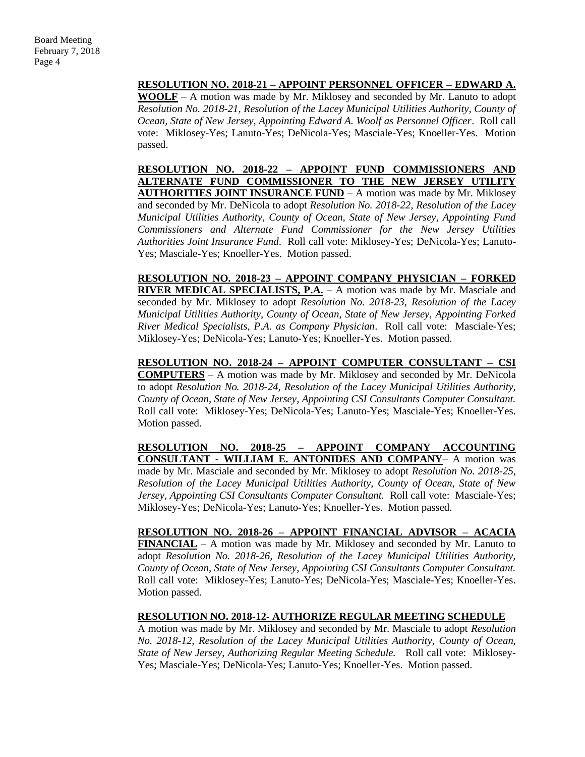**RESOLUTION NO. 2018-21 – APPOINT PERSONNEL OFFICER – EDWARD A.** 

**WOOLF** – A motion was made by Mr. Miklosey and seconded by Mr. Lanuto to adopt *Resolution No. 2018-21, Resolution of the Lacey Municipal Utilities Authority, County of Ocean, State of New Jersey, Appointing Edward A. Woolf as Personnel Officer*. Roll call vote: Miklosey-Yes; Lanuto-Yes; DeNicola-Yes; Masciale-Yes; Knoeller-Yes. Motion passed.

**RESOLUTION NO. 2018-22 – APPOINT FUND COMMISSIONERS AND ALTERNATE FUND COMMISSIONER TO THE NEW JERSEY UTILITY AUTHORITIES JOINT INSURANCE FUND** – A motion was made by Mr. Miklosey and seconded by Mr. DeNicola to adopt *Resolution No. 2018-22, Resolution of the Lacey Municipal Utilities Authority, County of Ocean, State of New Jersey, Appointing Fund Commissioners and Alternate Fund Commissioner for the New Jersey Utilities Authorities Joint Insurance Fund*. Roll call vote: Miklosey-Yes; DeNicola-Yes; Lanuto-Yes; Masciale-Yes; Knoeller-Yes. Motion passed.

**RESOLUTION NO. 2018-23 – APPOINT COMPANY PHYSICIAN – FORKED RIVER MEDICAL SPECIALISTS, P.A.** – A motion was made by Mr. Masciale and seconded by Mr. Miklosey to adopt *Resolution No. 2018-23, Resolution of the Lacey Municipal Utilities Authority, County of Ocean, State of New Jersey, Appointing Forked River Medical Specialists, P.A. as Company Physician*. Roll call vote: Masciale-Yes; Miklosey-Yes; DeNicola-Yes; Lanuto-Yes; Knoeller-Yes. Motion passed.

**RESOLUTION NO. 2018-24 – APPOINT COMPUTER CONSULTANT – CSI COMPUTERS** – A motion was made by Mr. Miklosey and seconded by Mr. DeNicola to adopt *Resolution No. 2018-24, Resolution of the Lacey Municipal Utilities Authority, County of Ocean, State of New Jersey, Appointing CSI Consultants Computer Consultant.* Roll call vote: Miklosey-Yes; DeNicola-Yes; Lanuto-Yes; Masciale-Yes; Knoeller-Yes. Motion passed.

**RESOLUTION NO. 2018-25 – APPOINT COMPANY ACCOUNTING CONSULTANT - WILLIAM E. ANTONIDES AND COMPANY**– A motion was made by Mr. Masciale and seconded by Mr. Miklosey to adopt *Resolution No. 2018-25, Resolution of the Lacey Municipal Utilities Authority, County of Ocean, State of New Jersey, Appointing CSI Consultants Computer Consultant.* Roll call vote: Masciale-Yes; Miklosey-Yes; DeNicola-Yes; Lanuto-Yes; Knoeller-Yes. Motion passed.

**RESOLUTION NO. 2018-26 – APPOINT FINANCIAL ADVISOR – ACACIA FINANCIAL** – A motion was made by Mr. Miklosey and seconded by Mr. Lanuto to adopt *Resolution No. 2018-26, Resolution of the Lacey Municipal Utilities Authority, County of Ocean, State of New Jersey, Appointing CSI Consultants Computer Consultant.* Roll call vote: Miklosey-Yes; Lanuto-Yes; DeNicola-Yes; Masciale-Yes; Knoeller-Yes. Motion passed.

#### **RESOLUTION NO. 2018-12- AUTHORIZE REGULAR MEETING SCHEDULE**

A motion was made by Mr. Miklosey and seconded by Mr. Masciale to adopt *Resolution No. 2018-12, Resolution of the Lacey Municipal Utilities Authority, County of Ocean, State of New Jersey*, *Authorizing Regular Meeting Schedule.* Roll call vote: Miklosey-Yes; Masciale-Yes; DeNicola-Yes; Lanuto-Yes; Knoeller-Yes. Motion passed.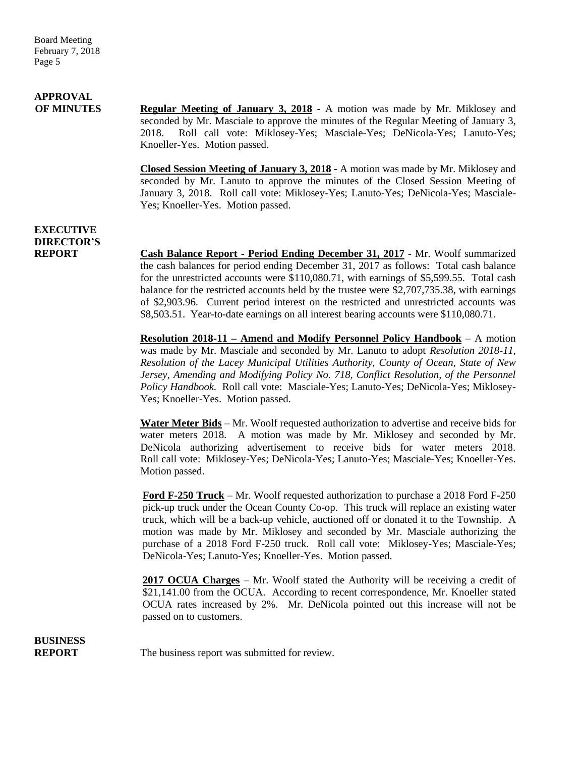# **APPROVAL**

**OF MINUTES Regular Meeting of January 3, 2018 -** A motion was made by Mr. Miklosey and seconded by Mr. Masciale to approve the minutes of the Regular Meeting of January 3, 2018. Roll call vote: Miklosey-Yes; Masciale-Yes; DeNicola-Yes; Lanuto-Yes; Knoeller-Yes. Motion passed.

> **Closed Session Meeting of January 3, 2018 -** A motion was made by Mr. Miklosey and seconded by Mr. Lanuto to approve the minutes of the Closed Session Meeting of January 3, 2018. Roll call vote: Miklosey-Yes; Lanuto-Yes; DeNicola-Yes; Masciale-Yes; Knoeller-Yes. Motion passed.

### **EXECUTIVE DIRECTOR'S**

**REPORT Cash Balance Report - Period Ending December 31, 2017** - Mr. Woolf summarized the cash balances for period ending December 31, 2017 as follows: Total cash balance for the unrestricted accounts were \$110,080.71, with earnings of \$5,599.55. Total cash balance for the restricted accounts held by the trustee were \$2,707,735.38, with earnings of \$2,903.96. Current period interest on the restricted and unrestricted accounts was \$8,503.51. Year-to-date earnings on all interest bearing accounts were \$110,080.71.

> **Resolution 2018-11 – Amend and Modify Personnel Policy Handbook** – A motion was made by Mr. Masciale and seconded by Mr. Lanuto to adopt *Resolution 2018-11, Resolution of the Lacey Municipal Utilities Authority, County of Ocean, State of New Jersey, Amending and Modifying Policy No. 718, Conflict Resolution, of the Personnel Policy Handbook.* Roll call vote: Masciale-Yes; Lanuto-Yes; DeNicola-Yes; Miklosey-Yes; Knoeller-Yes. Motion passed.

> **Water Meter Bids** – Mr. Woolf requested authorization to advertise and receive bids for water meters 2018. A motion was made by Mr. Miklosey and seconded by Mr. DeNicola authorizing advertisement to receive bids for water meters 2018. Roll call vote: Miklosey-Yes; DeNicola-Yes; Lanuto-Yes; Masciale-Yes; Knoeller-Yes. Motion passed.

> **Ford F-250 Truck** – Mr. Woolf requested authorization to purchase a 2018 Ford F-250 pick-up truck under the Ocean County Co-op. This truck will replace an existing water truck, which will be a back-up vehicle, auctioned off or donated it to the Township.A motion was made by Mr. Miklosey and seconded by Mr. Masciale authorizing the purchase of a 2018 Ford F-250 truck. Roll call vote: Miklosey-Yes; Masciale-Yes; DeNicola-Yes; Lanuto-Yes; Knoeller-Yes. Motion passed.

> **2017 OCUA Charges** – Mr. Woolf stated the Authority will be receiving a credit of \$21,141.00 from the OCUA. According to recent correspondence, Mr. Knoeller stated OCUA rates increased by 2%. Mr. DeNicola pointed out this increase will not be passed on to customers.

**BUSINESS**

**REPORT** The business report was submitted for review.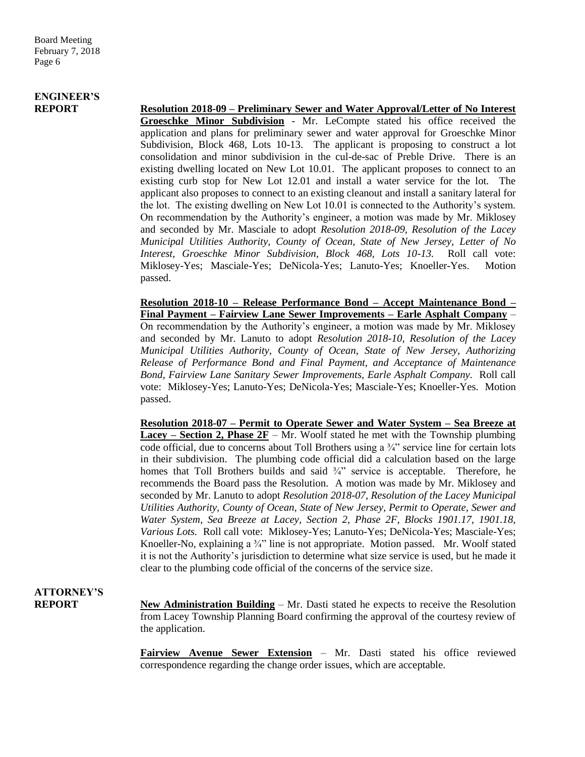### **ENGINEER'S**

**REPORT Resolution 2018-09 – Preliminary Sewer and Water Approval/Letter of No Interest Groeschke Minor Subdivision** - Mr. LeCompte stated his office received the application and plans for preliminary sewer and water approval for Groeschke Minor Subdivision, Block 468, Lots 10-13. The applicant is proposing to construct a lot consolidation and minor subdivision in the cul-de-sac of Preble Drive. There is an existing dwelling located on New Lot 10.01. The applicant proposes to connect to an existing curb stop for New Lot 12.01 and install a water service for the lot. The applicant also proposes to connect to an existing cleanout and install a sanitary lateral for the lot. The existing dwelling on New Lot 10.01 is connected to the Authority's system. On recommendation by the Authority's engineer, a motion was made by Mr. Miklosey and seconded by Mr. Masciale to adopt *Resolution 2018-09, Resolution of the Lacey Municipal Utilities Authority, County of Ocean, State of New Jersey, Letter of No Interest, Groeschke Minor Subdivision, Block 468, Lots 10-13.* Roll call vote: Miklosey-Yes; Masciale-Yes; DeNicola-Yes; Lanuto-Yes; Knoeller-Yes. Motion passed.

> **Resolution 2018-10 – Release Performance Bond – Accept Maintenance Bond – Final Payment – Fairview Lane Sewer Improvements – Earle Asphalt Company** – On recommendation by the Authority's engineer, a motion was made by Mr. Miklosey and seconded by Mr. Lanuto to adopt *Resolution 2018-10, Resolution of the Lacey Municipal Utilities Authority, County of Ocean, State of New Jersey, Authorizing Release of Performance Bond and Final Payment, and Acceptance of Maintenance Bond, Fairview Lane Sanitary Sewer Improvements, Earle Asphalt Company.* Roll call vote: Miklosey-Yes; Lanuto-Yes; DeNicola-Yes; Masciale-Yes; Knoeller-Yes. Motion passed.

> **Resolution 2018-07 – Permit to Operate Sewer and Water System – Sea Breeze at Lacey – Section 2, Phase**  $2F - Mr$ **.** Woolf stated he met with the Township plumbing code official, due to concerns about Toll Brothers using a  $\frac{3}{4}$ " service line for certain lots in their subdivision. The plumbing code official did a calculation based on the large homes that Toll Brothers builds and said  $\frac{3}{4}$  service is acceptable. Therefore, he recommends the Board pass the Resolution. A motion was made by Mr. Miklosey and seconded by Mr. Lanuto to adopt *Resolution 2018-07, Resolution of the Lacey Municipal Utilities Authority, County of Ocean, State of New Jersey, Permit to Operate, Sewer and Water System, Sea Breeze at Lacey, Section 2, Phase 2F, Blocks 1901.17, 1901.18, Various Lots.* Roll call vote: Miklosey-Yes; Lanuto-Yes; DeNicola-Yes; Masciale-Yes; Knoeller-No, explaining a  $\frac{3}{4}$ " line is not appropriate. Motion passed. Mr. Woolf stated it is not the Authority's jurisdiction to determine what size service is used, but he made it clear to the plumbing code official of the concerns of the service size.

# **ATTORNEY'S**

**REPORT New Administration Building** – Mr. Dasti stated he expects to receive the Resolution from Lacey Township Planning Board confirming the approval of the courtesy review of the application.

> **Fairview Avenue Sewer Extension** – Mr. Dasti stated his office reviewed correspondence regarding the change order issues, which are acceptable.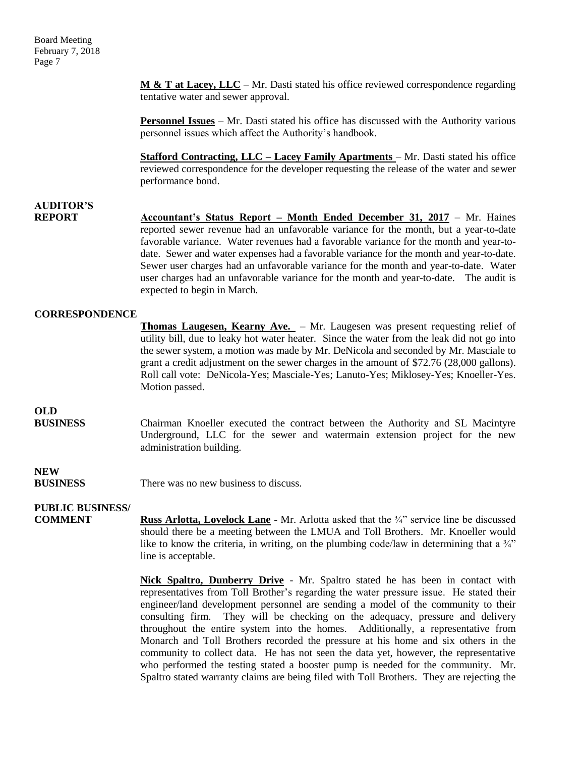Board Meeting February 7, 2018 Page 7

> **M & T at Lacey, LLC** – Mr. Dasti stated his office reviewed correspondence regarding tentative water and sewer approval.

> **Personnel Issues** – Mr. Dasti stated his office has discussed with the Authority various personnel issues which affect the Authority's handbook.

> **Stafford Contracting, LLC – Lacey Family Apartments** – Mr. Dasti stated his office reviewed correspondence for the developer requesting the release of the water and sewer performance bond.

### **AUDITOR'S**

**REPORT Accountant's Status Report – Month Ended December 31, 2017** – Mr. Haines reported sewer revenue had an unfavorable variance for the month, but a year-to-date favorable variance. Water revenues had a favorable variance for the month and year-todate. Sewer and water expenses had a favorable variance for the month and year-to-date. Sewer user charges had an unfavorable variance for the month and year-to-date. Water user charges had an unfavorable variance for the month and year-to-date. The audit is expected to begin in March.

#### **CORRESPONDENCE**

**Thomas Laugesen, Kearny Ave.** – Mr. Laugesen was present requesting relief of utility bill, due to leaky hot water heater. Since the water from the leak did not go into the sewer system, a motion was made by Mr. DeNicola and seconded by Mr. Masciale to grant a credit adjustment on the sewer charges in the amount of \$72.76 (28,000 gallons). Roll call vote: DeNicola-Yes; Masciale-Yes; Lanuto-Yes; Miklosey-Yes; Knoeller-Yes. Motion passed.

### **OLD**

**BUSINESS** Chairman Knoeller executed the contract between the Authority and SL Macintyre Underground, LLC for the sewer and watermain extension project for the new administration building.

**NEW**

**BUSINESS** There was no new business to discuss.

### **PUBLIC BUSINESS/**

**COMMENT Russ Arlotta, Lovelock Lane** - Mr. Arlotta asked that the <sup>3</sup>/4" service line be discussed should there be a meeting between the LMUA and Toll Brothers. Mr. Knoeller would like to know the criteria, in writing, on the plumbing code/law in determining that a  $\frac{3}{4}$ " line is acceptable.

> **Nick Spaltro, Dunberry Drive** - Mr. Spaltro stated he has been in contact with representatives from Toll Brother's regarding the water pressure issue. He stated their engineer/land development personnel are sending a model of the community to their consulting firm. They will be checking on the adequacy, pressure and delivery throughout the entire system into the homes. Additionally, a representative from Monarch and Toll Brothers recorded the pressure at his home and six others in the community to collect data. He has not seen the data yet, however, the representative who performed the testing stated a booster pump is needed for the community. Mr. Spaltro stated warranty claims are being filed with Toll Brothers. They are rejecting the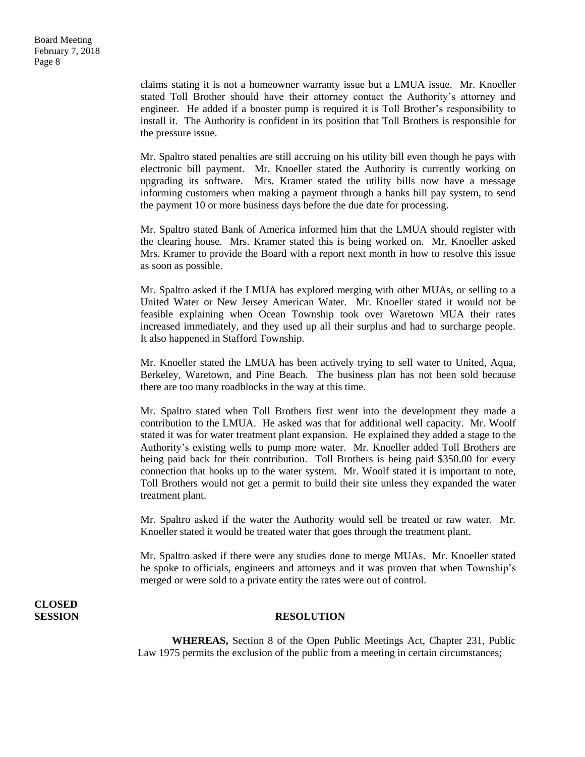Board Meeting February 7, 2018 Page 8

> claims stating it is not a homeowner warranty issue but a LMUA issue. Mr. Knoeller stated Toll Brother should have their attorney contact the Authority's attorney and engineer. He added if a booster pump is required it is Toll Brother's responsibility to install it. The Authority is confident in its position that Toll Brothers is responsible for the pressure issue.

> Mr. Spaltro stated penalties are still accruing on his utility bill even though he pays with electronic bill payment. Mr. Knoeller stated the Authority is currently working on upgrading its software. Mrs. Kramer stated the utility bills now have a message informing customers when making a payment through a banks bill pay system, to send the payment 10 or more business days before the due date for processing.

> Mr. Spaltro stated Bank of America informed him that the LMUA should register with the clearing house. Mrs. Kramer stated this is being worked on. Mr. Knoeller asked Mrs. Kramer to provide the Board with a report next month in how to resolve this issue as soon as possible.

> Mr. Spaltro asked if the LMUA has explored merging with other MUAs, or selling to a United Water or New Jersey American Water. Mr. Knoeller stated it would not be feasible explaining when Ocean Township took over Waretown MUA their rates increased immediately, and they used up all their surplus and had to surcharge people. It also happened in Stafford Township.

> Mr. Knoeller stated the LMUA has been actively trying to sell water to United, Aqua, Berkeley, Waretown, and Pine Beach. The business plan has not been sold because there are too many roadblocks in the way at this time.

> Mr. Spaltro stated when Toll Brothers first went into the development they made a contribution to the LMUA. He asked was that for additional well capacity. Mr. Woolf stated it was for water treatment plant expansion. He explained they added a stage to the Authority's existing wells to pump more water. Mr. Knoeller added Toll Brothers are being paid back for their contribution. Toll Brothers is being paid \$350.00 for every connection that hooks up to the water system. Mr. Woolf stated it is important to note, Toll Brothers would not get a permit to build their site unless they expanded the water treatment plant.

> Mr. Spaltro asked if the water the Authority would sell be treated or raw water. Mr. Knoeller stated it would be treated water that goes through the treatment plant.

> Mr. Spaltro asked if there were any studies done to merge MUAs. Mr. Knoeller stated he spoke to officials, engineers and attorneys and it was proven that when Township's merged or were sold to a private entity the rates were out of control.

**CLOSED** 

#### **SESSION RESOLUTION**

**WHEREAS,** Section 8 of the Open Public Meetings Act, Chapter 231, Public Law 1975 permits the exclusion of the public from a meeting in certain circumstances;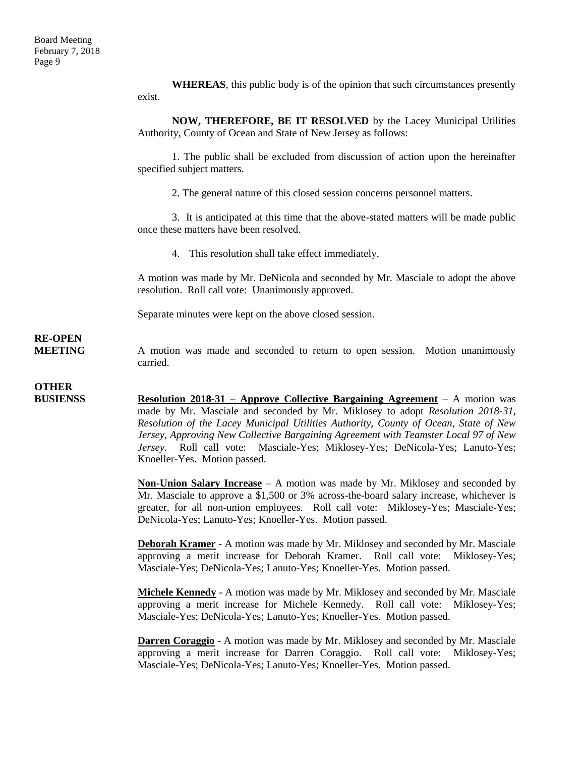**WHEREAS**, this public body is of the opinion that such circumstances presently exist.

**NOW, THEREFORE, BE IT RESOLVED** by the Lacey Municipal Utilities Authority, County of Ocean and State of New Jersey as follows:

1. The public shall be excluded from discussion of action upon the hereinafter specified subject matters.

2. The general nature of this closed session concerns personnel matters.

3. It is anticipated at this time that the above-stated matters will be made public once these matters have been resolved.

4. This resolution shall take effect immediately.

A motion was made by Mr. DeNicola and seconded by Mr. Masciale to adopt the above resolution. Roll call vote: Unanimously approved.

Separate minutes were kept on the above closed session.

### **RE-OPEN**

**MEETING** A motion was made and seconded to return to open session. Motion unanimously carried.

### **OTHER**

**BUSIENSS Resolution 2018-31 – Approve Collective Bargaining Agreement** – A motion was made by Mr. Masciale and seconded by Mr. Miklosey to adopt *Resolution 2018-31, Resolution of the Lacey Municipal Utilities Authority, County of Ocean, State of New Jersey, Approving New Collective Bargaining Agreement with Teamster Local 97 of New Jersey.* Roll call vote: Masciale-Yes; Miklosey-Yes; DeNicola-Yes; Lanuto-Yes; Knoeller-Yes. Motion passed.

> **Non-Union Salary Increase** – A motion was made by Mr. Miklosey and seconded by Mr. Masciale to approve a \$1,500 or 3% across-the-board salary increase, whichever is greater, for all non-union employees. Roll call vote: Miklosey-Yes; Masciale-Yes; DeNicola-Yes; Lanuto-Yes; Knoeller-Yes. Motion passed.

> **Deborah Kramer** - A motion was made by Mr. Miklosey and seconded by Mr. Masciale approving a merit increase for Deborah Kramer. Roll call vote: Miklosey-Yes; Masciale-Yes; DeNicola-Yes; Lanuto-Yes; Knoeller-Yes. Motion passed.

> **Michele Kennedy** - A motion was made by Mr. Miklosey and seconded by Mr. Masciale approving a merit increase for Michele Kennedy. Roll call vote: Miklosey-Yes; Masciale-Yes; DeNicola-Yes; Lanuto-Yes; Knoeller-Yes. Motion passed.

> **Darren Coraggio** - A motion was made by Mr. Miklosey and seconded by Mr. Masciale approving a merit increase for Darren Coraggio. Roll call vote: Miklosey-Yes; Masciale-Yes; DeNicola-Yes; Lanuto-Yes; Knoeller-Yes. Motion passed.